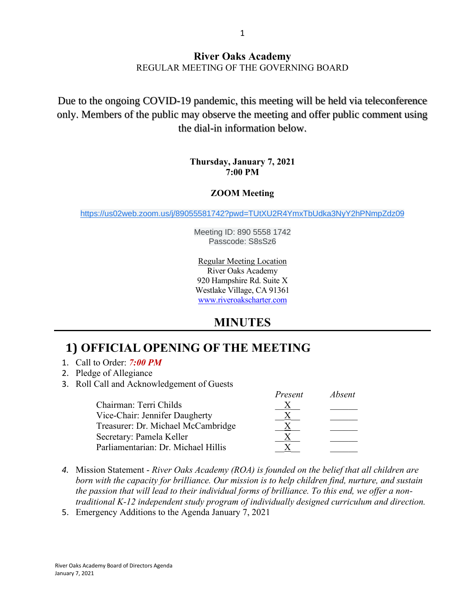#### **River Oaks Academy** REGULAR MEETING OF THE GOVERNING BOARD

Due to the ongoing COVID-19 pandemic, this meeting will be held via teleconference only. Members of the public may observe the meeting and offer public comment using the dial-in information below.

#### **Thursday, January 7, 2021 7:00 PM**

#### **ZOOM Meeting**

[https://us02web.zoom.us/j/89055581742?pwd=TUtXU2R4YmxTbUdka3NyY2hPNmpZdz09](https://www.google.com/url?q=https://us02web.zoom.us/j/89055581742?pwd%3DTUtXU2R4YmxTbUdka3NyY2hPNmpZdz09&sa=D&source=calendar&ust=1609190001791000&usg=AOvVaw0eCcf5X4FWxOG682sb9VQ1)

Meeting ID: 890 5558 1742 Passcode: S8sSz6

Regular Meeting Location River Oaks Academy 920 Hampshire Rd. Suite X Westlake Village, CA 91361 [www.riveroakscharter.com](http://www.riveroakscharter.com/)

## **MINUTES**

# **1) OFFICIAL OPENING OF THE MEETING**

- 1. Call to Order: *7:00 PM*
- 2. Pledge of Allegiance
- 3. Roll Call and Acknowledgement of Guests

|                                     | Present | <i>Absent</i> |
|-------------------------------------|---------|---------------|
| Chairman: Terri Childs              |         |               |
| Vice-Chair: Jennifer Daugherty      |         |               |
| Treasurer: Dr. Michael McCambridge  |         |               |
| Secretary: Pamela Keller            |         |               |
| Parliamentarian: Dr. Michael Hillis |         |               |

- *4.* Mission Statement *River Oaks Academy (ROA) is founded on the belief that all children are born with the capacity for brilliance. Our mission is to help children find, nurture, and sustain the passion that will lead to their individual forms of brilliance. To this end, we offer a nontraditional K-12 independent study program of individually designed curriculum and direction.*
- 5. Emergency Additions to the Agenda January 7, 2021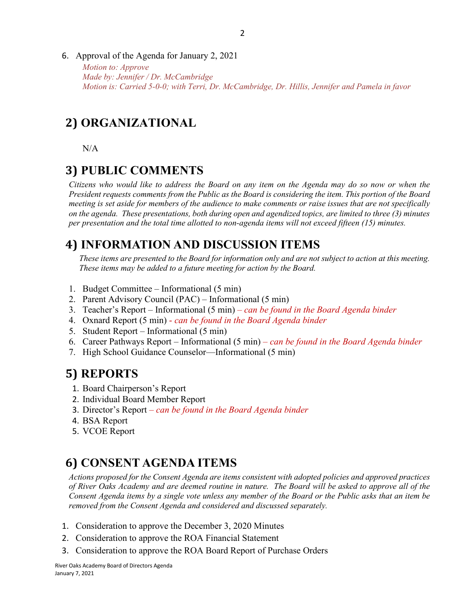- 2
- 6. Approval of the Agenda for January 2, 2021

*Motion to: Approve Made by: Jennifer / Dr. McCambridge Motion is: Carried 5-0-0; with Terri, Dr. McCambridge, Dr. Hillis, Jennifer and Pamela in favor*

### **2) ORGANIZATIONAL**

N/A

#### **3) PUBLIC COMMENTS**

*Citizens who would like to address the Board on any item on the Agenda may do so now or when the President requests comments from the Public as the Board is considering the item. This portion of the Board meeting is set aside for members of the audience to make comments or raise issues that are not specifically on the agenda. These presentations, both during open and agendized topics, are limited to three (3) minutes per presentation and the total time allotted to non-agenda items will not exceed fifteen (15) minutes.*

## **4) INFORMATION AND DISCUSSION ITEMS**

*These items are presented to the Board for information only and are not subject to action at this meeting. These items may be added to a future meeting for action by the Board.*

- 1. Budget Committee Informational (5 min)
- 2. Parent Advisory Council (PAC) Informational (5 min)
- 3. Teacher's Report Informational (5 min) *– can be found in the Board Agenda binder*
- 4. Oxnard Report (5 min) *can be found in the Board Agenda binder*
- 5. Student Report Informational (5 min)
- 6. Career Pathways Report Informational (5 min) *– can be found in the Board Agenda binder*
- 7. High School Guidance Counselor—Informational (5 min)

### **5) REPORTS**

- 1. Board Chairperson's Report
- 2. Individual Board Member Report
- 3. Director's Report *– can be found in the Board Agenda binder*
- 4. BSA Report
- 5. VCOE Report

### **6) CONSENT AGENDA ITEMS**

*Actions proposed for the Consent Agenda are items consistent with adopted policies and approved practices of River Oaks Academy and are deemed routine in nature. The Board will be asked to approve all of the Consent Agenda items by a single vote unless any member of the Board or the Public asks that an item be removed from the Consent Agenda and considered and discussed separately.*

- 1. Consideration to approve the December 3, 2020 Minutes
- 2. Consideration to approve the ROA Financial Statement
- 3. Consideration to approve the ROA Board Report of Purchase Orders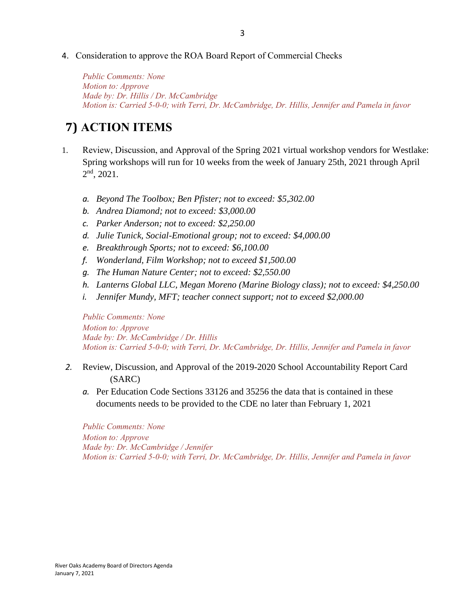*Public Comments: None Motion to: Approve Made by: Dr. Hillis / Dr. McCambridge Motion is: Carried 5-0-0; with Terri, Dr. McCambridge, Dr. Hillis, Jennifer and Pamela in favor*

# **7) ACTION ITEMS**

- 1. Review, Discussion, and Approval of the Spring 2021 virtual workshop vendors for Westlake: Spring workshops will run for 10 weeks from the week of January 25th, 2021 through April  $2<sup>nd</sup>$ , 2021.
	- *a. Beyond The Toolbox; Ben Pfister; not to exceed: \$5,302.00*
	- *b. Andrea Diamond; not to exceed: \$3,000.00*
	- *c. Parker Anderson; not to exceed: \$2,250.00*
	- *d. Julie Tunick, Social-Emotional group; not to exceed: \$4,000.00*
	- *e. Breakthrough Sports; not to exceed: \$6,100.00*
	- *f. Wonderland, Film Workshop; not to exceed \$1,500.00*
	- *g. The Human Nature Center; not to exceed: \$2,550.00*
	- *h. Lanterns Global LLC, Megan Moreno (Marine Biology class); not to exceed: \$4,250.00*
	- *i. Jennifer Mundy, MFT; teacher connect support; not to exceed \$2,000.00*

*Public Comments: None Motion to: Approve Made by: Dr. McCambridge / Dr. Hillis Motion is: Carried 5-0-0; with Terri, Dr. McCambridge, Dr. Hillis, Jennifer and Pamela in favor*

- *2.* Review, Discussion, and Approval of the 2019-2020 School Accountability Report Card (SARC)
	- *a.* Per Education Code Sections 33126 and 35256 the data that is contained in these documents needs to be provided to the CDE no later than February 1, 2021

*Public Comments: None Motion to: Approve Made by: Dr. McCambridge / Jennifer Motion is: Carried 5-0-0; with Terri, Dr. McCambridge, Dr. Hillis, Jennifer and Pamela in favor*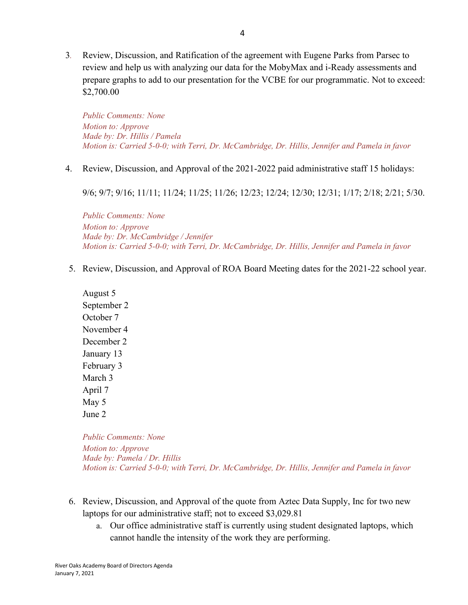3*.* Review, Discussion, and Ratification of the agreement with Eugene Parks from Parsec to review and help us with analyzing our data for the MobyMax and i-Ready assessments and prepare graphs to add to our presentation for the VCBE for our programmatic. Not to exceed: \$2,700.00

*Public Comments: None Motion to: Approve Made by: Dr. Hillis / Pamela Motion is: Carried 5-0-0; with Terri, Dr. McCambridge, Dr. Hillis, Jennifer and Pamela in favor*

4. Review, Discussion, and Approval of the 2021-2022 paid administrative staff 15 holidays:

9/6; 9/7; 9/16; 11/11; 11/24; 11/25; 11/26; 12/23; 12/24; 12/30; 12/31; 1/17; 2/18; 2/21; 5/30.

*Public Comments: None Motion to: Approve Made by: Dr. McCambridge / Jennifer Motion is: Carried 5-0-0; with Terri, Dr. McCambridge, Dr. Hillis, Jennifer and Pamela in favor*

5. Review, Discussion, and Approval of ROA Board Meeting dates for the 2021-22 school year.

August 5 September 2 October 7 November 4 December 2 January 13 February 3 March 3 April 7 May 5 June 2

*Public Comments: None Motion to: Approve Made by: Pamela / Dr. Hillis Motion is: Carried 5-0-0; with Terri, Dr. McCambridge, Dr. Hillis, Jennifer and Pamela in favor*

- 6. Review, Discussion, and Approval of the quote from Aztec Data Supply, Inc for two new laptops for our administrative staff; not to exceed \$3,029.81
	- a. Our office administrative staff is currently using student designated laptops, which cannot handle the intensity of the work they are performing.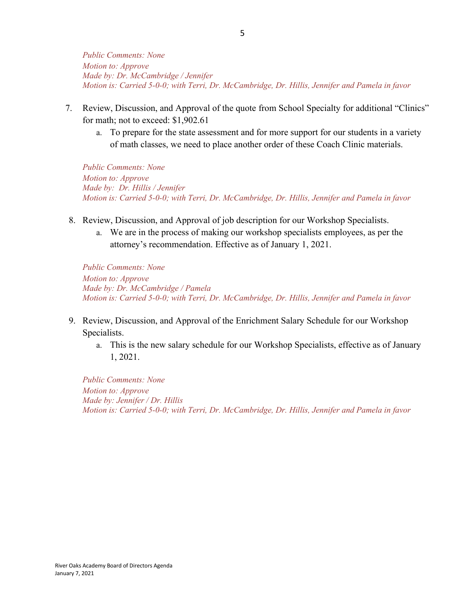*Public Comments: None Motion to: Approve Made by: Dr. McCambridge / Jennifer Motion is: Carried 5-0-0; with Terri, Dr. McCambridge, Dr. Hillis, Jennifer and Pamela in favor*

- 7. Review, Discussion, and Approval of the quote from School Specialty for additional "Clinics" for math; not to exceed: \$1,902.61
	- a. To prepare for the state assessment and for more support for our students in a variety of math classes, we need to place another order of these Coach Clinic materials.

*Public Comments: None Motion to: Approve Made by: Dr. Hillis / Jennifer Motion is: Carried 5-0-0; with Terri, Dr. McCambridge, Dr. Hillis, Jennifer and Pamela in favor*

- 8. Review, Discussion, and Approval of job description for our Workshop Specialists.
	- a. We are in the process of making our workshop specialists employees, as per the attorney's recommendation. Effective as of January 1, 2021.

*Public Comments: None Motion to: Approve Made by: Dr. McCambridge / Pamela Motion is: Carried 5-0-0; with Terri, Dr. McCambridge, Dr. Hillis, Jennifer and Pamela in favor*

- 9. Review, Discussion, and Approval of the Enrichment Salary Schedule for our Workshop Specialists.
	- a. This is the new salary schedule for our Workshop Specialists, effective as of January 1, 2021.

*Public Comments: None Motion to: Approve Made by: Jennifer / Dr. Hillis Motion is: Carried 5-0-0; with Terri, Dr. McCambridge, Dr. Hillis, Jennifer and Pamela in favor*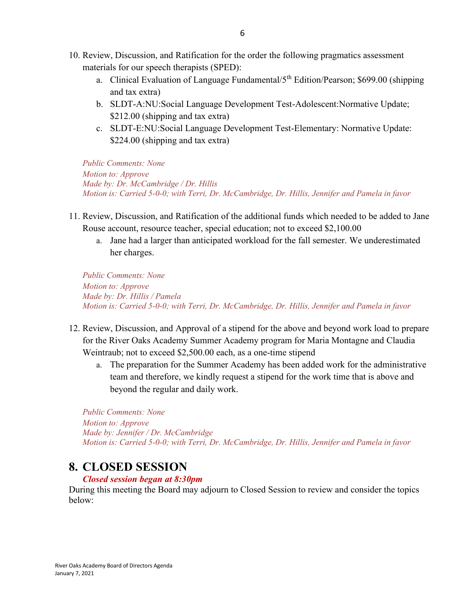- 10. Review, Discussion, and Ratification for the order the following pragmatics assessment materials for our speech therapists (SPED):
	- a. Clinical Evaluation of Language Fundamental/ $5<sup>th</sup>$  Edition/Pearson; \$699.00 (shipping and tax extra)
	- b. SLDT-A:NU:Social Language Development Test-Adolescent:Normative Update; \$212.00 (shipping and tax extra)
	- c. SLDT-E:NU:Social Language Development Test-Elementary: Normative Update: \$224.00 (shipping and tax extra)

*Public Comments: None Motion to: Approve Made by: Dr. McCambridge / Dr. Hillis Motion is: Carried 5-0-0; with Terri, Dr. McCambridge, Dr. Hillis, Jennifer and Pamela in favor*

- 11. Review, Discussion, and Ratification of the additional funds which needed to be added to Jane Rouse account, resource teacher, special education; not to exceed \$2,100.00
	- a. Jane had a larger than anticipated workload for the fall semester. We underestimated her charges.

*Public Comments: None Motion to: Approve Made by: Dr. Hillis / Pamela Motion is: Carried 5-0-0; with Terri, Dr. McCambridge, Dr. Hillis, Jennifer and Pamela in favor*

- 12. Review, Discussion, and Approval of a stipend for the above and beyond work load to prepare for the River Oaks Academy Summer Academy program for Maria Montagne and Claudia Weintraub; not to exceed \$2,500.00 each, as a one-time stipend
	- a. The preparation for the Summer Academy has been added work for the administrative team and therefore, we kindly request a stipend for the work time that is above and beyond the regular and daily work.

*Public Comments: None Motion to: Approve Made by: Jennifer / Dr. McCambridge Motion is: Carried 5-0-0; with Terri, Dr. McCambridge, Dr. Hillis, Jennifer and Pamela in favor*

#### **8. CLOSED SESSION**

#### *Closed session began at 8:30pm*

During this meeting the Board may adjourn to Closed Session to review and consider the topics below: